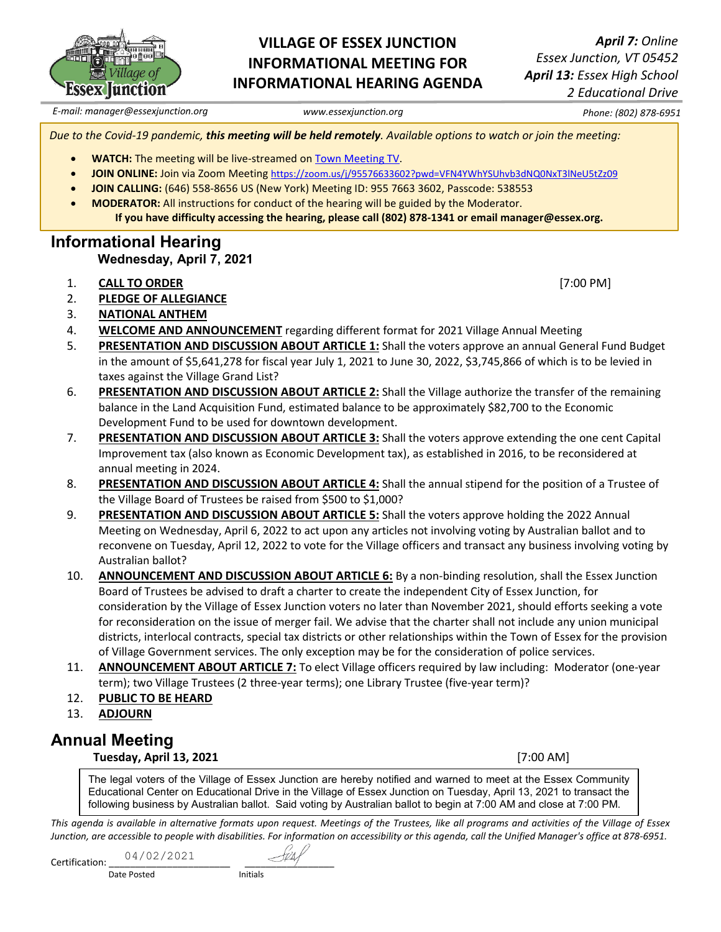

### **VILLAGE OF ESSEX JUNCTION INFORMATIONAL MEETING FOR INFORMATIONAL HEARING AGENDA**

*April 7: Online Essex Junction, VT 05452 April 13: Essex High School 2 Educational Drive*

*E-mail: manager@essexjunction.org www.essexjunction.org Phone: (802) 878-6951*

*Due to the Covid-19 pandemic, this meeting will be held remotely. Available options to watch or join the meeting:* 

- **WATCH:** The meeting will be live-streamed o[n Town Meeting TV.](https://www.youtube.com/watch?v=oMB68tThCys&list=PLljLFn4BZd2NDBcfrHVdIR7eUeko7haxg)
- **JOIN ONLINE:** Join via Zoom Meeting<https://zoom.us/j/95576633602?pwd=VFN4YWhYSUhvb3dNQ0NxT3lNeU5tZz09>
- **JOIN CALLING:** (646) 558-8656 US (New York) Meeting ID: 955 7663 3602, Passcode: 538553
- **MODERATOR:** All instructions for conduct of the hearing will be guided by the Moderator. **If you have difficulty accessing the hearing, please call (802) 878-1341 or email manager@essex.org.**

# **Informational Hearing Wednesday, April 7, 2021**

- 1. **CALL TO ORDER** [7:00 PM]
- 2. **PLEDGE OF ALLEGIANCE**
- 3. **NATIONAL ANTHEM**
- 4. **WELCOME AND ANNOUNCEMENT** regarding different format for 2021 Village Annual Meeting
- 5. **PRESENTATION AND DISCUSSION ABOUT ARTICLE 1:** Shall the voters approve an annual General Fund Budget in the amount of \$5,641,278 for fiscal year July 1, 2021 to June 30, 2022, \$3,745,866 of which is to be levied in taxes against the Village Grand List?
- 6. **PRESENTATION AND DISCUSSION ABOUT ARTICLE 2:** Shall the Village authorize the transfer of the remaining balance in the Land Acquisition Fund, estimated balance to be approximately \$82,700 to the Economic Development Fund to be used for downtown development.
- 7. **PRESENTATION AND DISCUSSION ABOUT ARTICLE 3:** Shall the voters approve extending the one cent Capital Improvement tax (also known as Economic Development tax), as established in 2016, to be reconsidered at annual meeting in 2024.
- 8. **PRESENTATION AND DISCUSSION ABOUT ARTICLE 4:** Shall the annual stipend for the position of a Trustee of the Village Board of Trustees be raised from \$500 to \$1,000?
- 9. **PRESENTATION AND DISCUSSION ABOUT ARTICLE 5:** Shall the voters approve holding the 2022 Annual Meeting on Wednesday, April 6, 2022 to act upon any articles not involving voting by Australian ballot and to reconvene on Tuesday, April 12, 2022 to vote for the Village officers and transact any business involving voting by Australian ballot?
- 10. **ANNOUNCEMENT AND DISCUSSION ABOUT ARTICLE 6:** By a non-binding resolution, shall the Essex Junction Board of Trustees be advised to draft a charter to create the independent City of Essex Junction, for consideration by the Village of Essex Junction voters no later than November 2021, should efforts seeking a vote for reconsideration on the issue of merger fail. We advise that the charter shall not include any union municipal districts, interlocal contracts, special tax districts or other relationships within the Town of Essex for the provision of Village Government services. The only exception may be for the consideration of police services.
- 11. **ANNOUNCEMENT ABOUT ARTICLE 7:** To elect Village officers required by law including: Moderator (one-year term); two Village Trustees (2 three-year terms); one Library Trustee (five-year term)?
- 12. **PUBLIC TO BE HEARD**
- 13. **ADJOURN**

### **Annual Meeting**

**Tuesday, April 13, 2021** [7:00 AM]

The legal voters of the Village of Essex Junction are hereby notified and warned to meet at the Essex Community Educational Center on Educational Drive in the Village of Essex Junction on Tuesday, April 13, 2021 to transact the following business by Australian ballot. Said voting by Australian ballot to begin at 7:00 AM and close at 7:00 PM.

*This agenda is available in alternative formats upon request. Meetings of the Trustees, like all programs and activities of the Village of Essex Junction, are accessible to people with disabilities. For information on accessibility or this agenda, call the Unified Manager's office at 878-6951.*

| Certification: | 04/02/2021 |          |  |
|----------------|------------|----------|--|
| Date Posted    |            | initiais |  |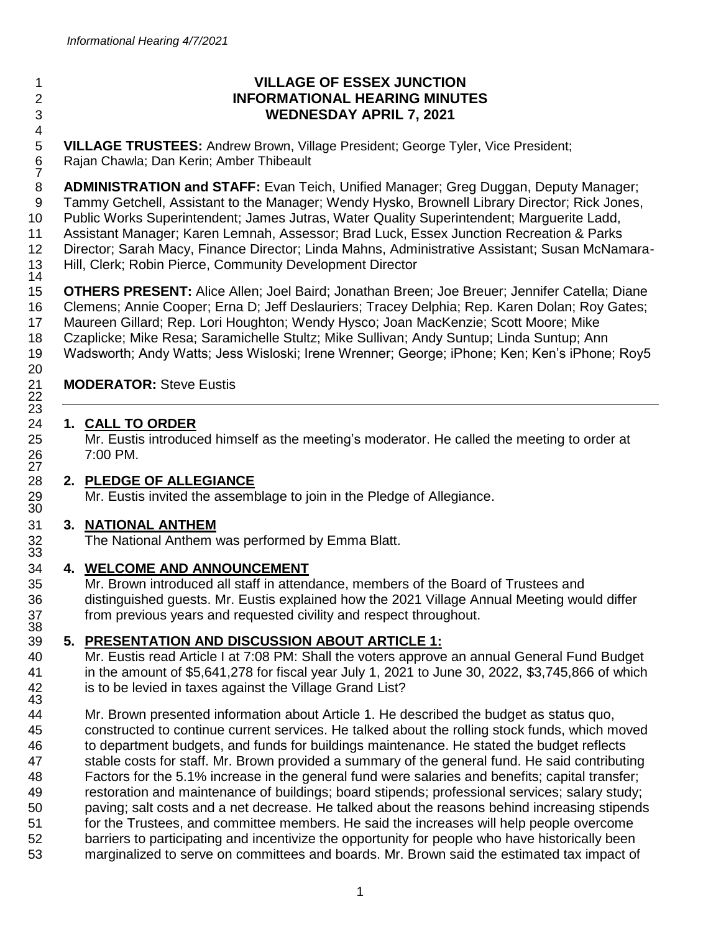**.**  $\frac{6}{7}$   $^{21}_{22}$  26<br>27 29<br>30

### **VILLAGE OF ESSEX JUNCTION INFORMATIONAL HEARING MINUTES WEDNESDAY APRIL 7, 2021**

 **VILLAGE TRUSTEES:** Andrew Brown, Village President; George Tyler, Vice President; Rajan Chawla; Dan Kerin; Amber Thibeault

 **ADMINISTRATION and STAFF:** Evan Teich, Unified Manager; Greg Duggan, Deputy Manager; Tammy Getchell, Assistant to the Manager; Wendy Hysko, Brownell Library Director; Rick Jones, Public Works Superintendent; James Jutras, Water Quality Superintendent; Marguerite Ladd, Assistant Manager; Karen Lemnah, Assessor; Brad Luck, Essex Junction Recreation & Parks Director; Sarah Macy, Finance Director; Linda Mahns, Administrative Assistant; Susan McNamara-Hill, Clerk; Robin Pierce, Community Development Director

 **OTHERS PRESENT:** Alice Allen; Joel Baird; Jonathan Breen; Joe Breuer; Jennifer Catella; Diane Clemens; Annie Cooper; Erna D; Jeff Deslauriers; Tracey Delphia; Rep. Karen Dolan; Roy Gates; Maureen Gillard; Rep. Lori Houghton; Wendy Hysco; Joan MacKenzie; Scott Moore; Mike Czaplicke; Mike Resa; Saramichelle Stultz; Mike Sullivan; Andy Suntup; Linda Suntup; Ann Wadsworth; Andy Watts; Jess Wisloski; Irene Wrenner; George; iPhone; Ken; Ken's iPhone; Roy5

# **MODERATOR: Steve Eustis**

## **1. CALL TO ORDER**

 Mr. Eustis introduced himself as the meeting's moderator. He called the meeting to order at 7:00 PM.

### **2. PLEDGE OF ALLEGIANCE**

Mr. Eustis invited the assemblage to join in the Pledge of Allegiance.

### **3. NATIONAL ANTHEM**

The National Anthem was performed by Emma Blatt.

# **4. WELCOME AND ANNOUNCEMENT**

 Mr. Brown introduced all staff in attendance, members of the Board of Trustees and distinguished guests. Mr. Eustis explained how the 2021 Village Annual Meeting would differ from previous years and requested civility and respect throughout.

# **5. PRESENTATION AND DISCUSSION ABOUT ARTICLE 1:**

 Mr. Eustis read Article I at 7:08 PM: Shall the voters approve an annual General Fund Budget in the amount of \$5,641,278 for fiscal year July 1, 2021 to June 30, 2022, \$3,745,866 of which is to be levied in taxes against the Village Grand List?

 Mr. Brown presented information about Article 1. He described the budget as status quo, constructed to continue current services. He talked about the rolling stock funds, which moved to department budgets, and funds for buildings maintenance. He stated the budget reflects stable costs for staff. Mr. Brown provided a summary of the general fund. He said contributing Factors for the 5.1% increase in the general fund were salaries and benefits; capital transfer; restoration and maintenance of buildings; board stipends; professional services; salary study; paving; salt costs and a net decrease. He talked about the reasons behind increasing stipends for the Trustees, and committee members. He said the increases will help people overcome barriers to participating and incentivize the opportunity for people who have historically been marginalized to serve on committees and boards. Mr. Brown said the estimated tax impact of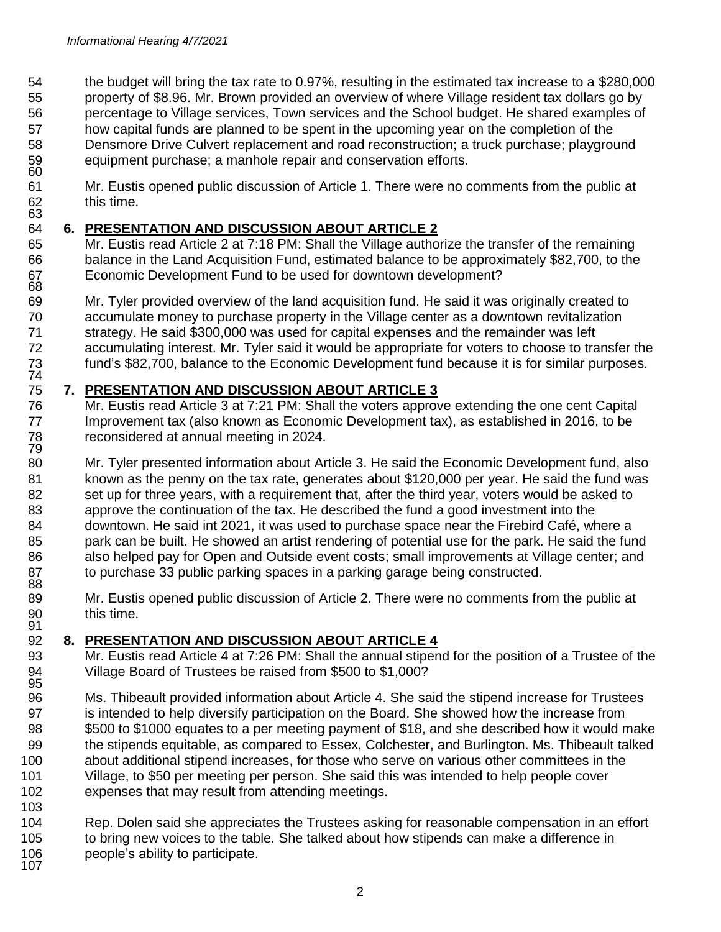the budget will bring the tax rate to 0.97%, resulting in the estimated tax increase to a \$280,000 property of \$8.96. Mr. Brown provided an overview of where Village resident tax dollars go by percentage to Village services, Town services and the School budget. He shared examples of how capital funds are planned to be spent in the upcoming year on the completion of the Densmore Drive Culvert replacement and road reconstruction; a truck purchase; playground equipment purchase; a manhole repair and conservation efforts. 

 Mr. Eustis opened public discussion of Article 1. There were no comments from the public at this time.

### **6. PRESENTATION AND DISCUSSION ABOUT ARTICLE 2**

 Mr. Eustis read Article 2 at 7:18 PM: Shall the Village authorize the transfer of the remaining balance in the Land Acquisition Fund, estimated balance to be approximately \$82,700, to the Economic Development Fund to be used for downtown development? 

 Mr. Tyler provided overview of the land acquisition fund. He said it was originally created to accumulate money to purchase property in the Village center as a downtown revitalization strategy. He said \$300,000 was used for capital expenses and the remainder was left accumulating interest. Mr. Tyler said it would be appropriate for voters to choose to transfer the fund's \$82,700, balance to the Economic Development fund because it is for similar purposes. 

### **7. PRESENTATION AND DISCUSSION ABOUT ARTICLE 3**

 Mr. Eustis read Article 3 at 7:21 PM: Shall the voters approve extending the one cent Capital Improvement tax (also known as Economic Development tax), as established in 2016, to be reconsidered at annual meeting in 2024. 

80 Mr. Tyler presented information about Article 3. He said the Economic Development fund, also known as the penny on the tax rate, generates about \$120,000 per year. He said the fund was 82 set up for three years, with a requirement that, after the third year, voters would be asked to approve the continuation of the tax. He described the fund a good investment into the downtown. He said int 2021, it was used to purchase space near the Firebird Café, where a 85 park can be built. He showed an artist rendering of potential use for the park. He said the fund 86 also helped pay for Open and Outside event costs; small improvements at Village center; and to purchase 33 public parking spaces in a parking garage being constructed. 

 Mr. Eustis opened public discussion of Article 2. There were no comments from the public at this time. 

### **8. PRESENTATION AND DISCUSSION ABOUT ARTICLE 4**

- Mr. Eustis read Article 4 at 7:26 PM: Shall the annual stipend for the position of a Trustee of the Village Board of Trustees be raised from \$500 to \$1,000?
- Ms. Thibeault provided information about Article 4. She said the stipend increase for Trustees is intended to help diversify participation on the Board. She showed how the increase from \$500 to \$1000 equates to a per meeting payment of \$18, and she described how it would make the stipends equitable, as compared to Essex, Colchester, and Burlington. Ms. Thibeault talked about additional stipend increases, for those who serve on various other committees in the Village, to \$50 per meeting per person. She said this was intended to help people cover expenses that may result from attending meetings.
- 

 Rep. Dolen said she appreciates the Trustees asking for reasonable compensation in an effort to bring new voices to the table. She talked about how stipends can make a difference in people's ability to participate.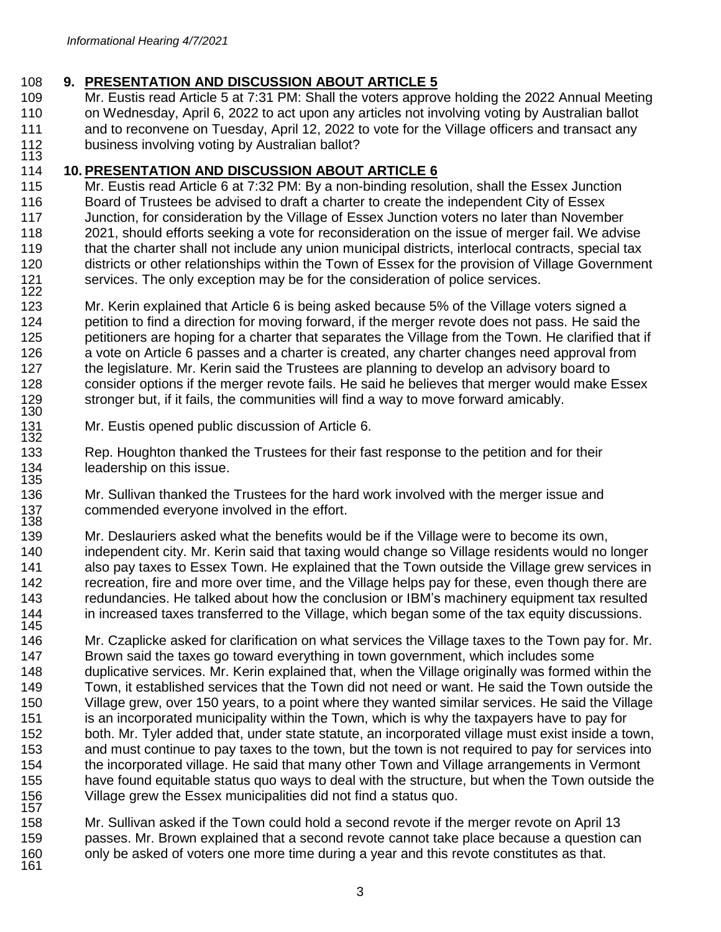### **9. PRESENTATION AND DISCUSSION ABOUT ARTICLE 5**

 Mr. Eustis read Article 5 at 7:31 PM: Shall the voters approve holding the 2022 Annual Meeting on Wednesday, April 6, 2022 to act upon any articles not involving voting by Australian ballot and to reconvene on Tuesday, April 12, 2022 to vote for the Village officers and transact any business involving voting by Australian ballot? 

#### **10. PRESENTATION AND DISCUSSION ABOUT ARTICLE 6**

115 Mr. Eustis read Article 6 at 7:32 PM: By a non-binding resolution, shall the Essex Junction Board of Trustees be advised to draft a charter to create the independent City of Essex Junction, for consideration by the Village of Essex Junction voters no later than November 2021, should efforts seeking a vote for reconsideration on the issue of merger fail. We advise that the charter shall not include any union municipal districts, interlocal contracts, special tax districts or other relationships within the Town of Essex for the provision of Village Government services. The only exception may be for the consideration of police services. 

 Mr. Kerin explained that Article 6 is being asked because 5% of the Village voters signed a petition to find a direction for moving forward, if the merger revote does not pass. He said the petitioners are hoping for a charter that separates the Village from the Town. He clarified that if a vote on Article 6 passes and a charter is created, any charter changes need approval from 127 the legislature. Mr. Kerin said the Trustees are planning to develop an advisory board to consider options if the merger revote fails. He said he believes that merger would make Essex stronger but, if it fails, the communities will find a way to move forward amicably. 

 Mr. Eustis opened public discussion of Article 6. 

 Rep. Houghton thanked the Trustees for their fast response to the petition and for their leadership on this issue. 

 Mr. Sullivan thanked the Trustees for the hard work involved with the merger issue and commended everyone involved in the effort. 

 Mr. Deslauriers asked what the benefits would be if the Village were to become its own, independent city. Mr. Kerin said that taxing would change so Village residents would no longer also pay taxes to Essex Town. He explained that the Town outside the Village grew services in recreation, fire and more over time, and the Village helps pay for these, even though there are redundancies. He talked about how the conclusion or IBM's machinery equipment tax resulted in increased taxes transferred to the Village, which began some of the tax equity discussions. 

 Mr. Czaplicke asked for clarification on what services the Village taxes to the Town pay for. Mr. Brown said the taxes go toward everything in town government, which includes some duplicative services. Mr. Kerin explained that, when the Village originally was formed within the Town, it established services that the Town did not need or want. He said the Town outside the Village grew, over 150 years, to a point where they wanted similar services. He said the Village is an incorporated municipality within the Town, which is why the taxpayers have to pay for both. Mr. Tyler added that, under state statute, an incorporated village must exist inside a town, and must continue to pay taxes to the town, but the town is not required to pay for services into the incorporated village. He said that many other Town and Village arrangements in Vermont have found equitable status quo ways to deal with the structure, but when the Town outside the Village grew the Essex municipalities did not find a status quo. 

 Mr. Sullivan asked if the Town could hold a second revote if the merger revote on April 13 passes. Mr. Brown explained that a second revote cannot take place because a question can only be asked of voters one more time during a year and this revote constitutes as that.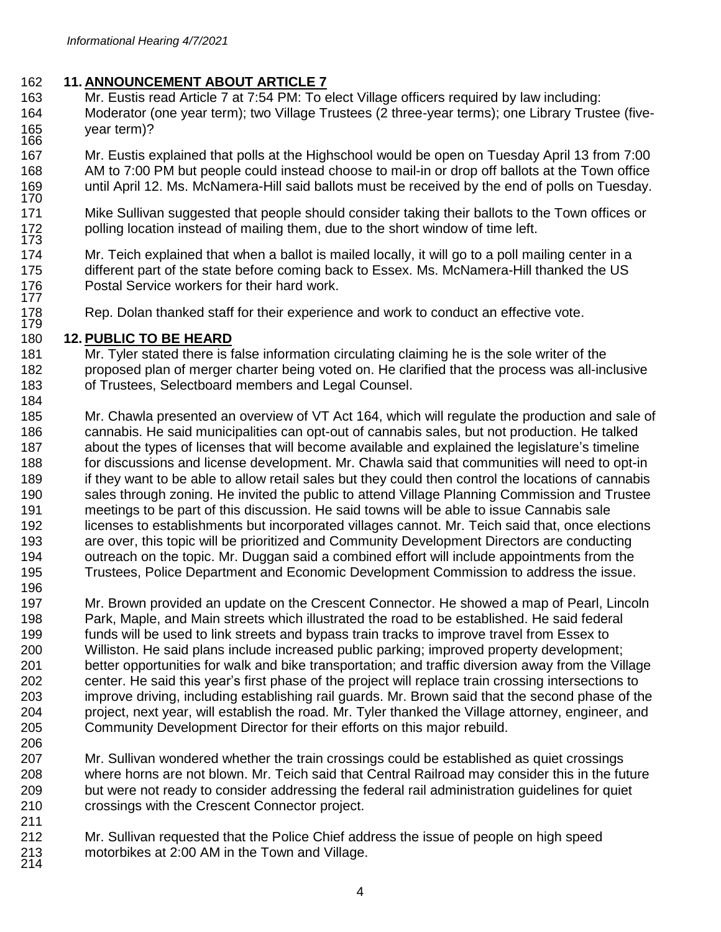### **11. ANNOUNCEMENT ABOUT ARTICLE 7**

- Mr. Eustis read Article 7 at 7:54 PM: To elect Village officers required by law including: Moderator (one year term); two Village Trustees (2 three-year terms); one Library Trustee (five- year term)?
- Mr. Eustis explained that polls at the Highschool would be open on Tuesday April 13 from 7:00 AM to 7:00 PM but people could instead choose to mail-in or drop off ballots at the Town office until April 12. Ms. McNamera-Hill said ballots must be received by the end of polls on Tuesday.
- Mike Sullivan suggested that people should consider taking their ballots to the Town offices or polling location instead of mailing them, due to the short window of time left.
- Mr. Teich explained that when a ballot is mailed locally, it will go to a poll mailing center in a different part of the state before coming back to Essex. Ms. McNamera-Hill thanked the US Postal Service workers for their hard work.
- Rep. Dolan thanked staff for their experience and work to conduct an effective vote.

#### **12. PUBLIC TO BE HEARD**

- Mr. Tyler stated there is false information circulating claiming he is the sole writer of the proposed plan of merger charter being voted on. He clarified that the process was all-inclusive of Trustees, Selectboard members and Legal Counsel.
- Mr. Chawla presented an overview of VT Act 164, which will regulate the production and sale of cannabis. He said municipalities can opt-out of cannabis sales, but not production. He talked about the types of licenses that will become available and explained the legislature's timeline for discussions and license development. Mr. Chawla said that communities will need to opt-in 189 if they want to be able to allow retail sales but they could then control the locations of cannabis sales through zoning. He invited the public to attend Village Planning Commission and Trustee meetings to be part of this discussion. He said towns will be able to issue Cannabis sale licenses to establishments but incorporated villages cannot. Mr. Teich said that, once elections are over, this topic will be prioritized and Community Development Directors are conducting outreach on the topic. Mr. Duggan said a combined effort will include appointments from the Trustees, Police Department and Economic Development Commission to address the issue.
- Mr. Brown provided an update on the Crescent Connector. He showed a map of Pearl, Lincoln Park, Maple, and Main streets which illustrated the road to be established. He said federal funds will be used to link streets and bypass train tracks to improve travel from Essex to Williston. He said plans include increased public parking; improved property development; better opportunities for walk and bike transportation; and traffic diversion away from the Village center. He said this year's first phase of the project will replace train crossing intersections to improve driving, including establishing rail guards. Mr. Brown said that the second phase of the project, next year, will establish the road. Mr. Tyler thanked the Village attorney, engineer, and Community Development Director for their efforts on this major rebuild.
- Mr. Sullivan wondered whether the train crossings could be established as quiet crossings where horns are not blown. Mr. Teich said that Central Railroad may consider this in the future but were not ready to consider addressing the federal rail administration guidelines for quiet crossings with the Crescent Connector project.
- Mr. Sullivan requested that the Police Chief address the issue of people on high speed motorbikes at 2:00 AM in the Town and Village. 213<br>214